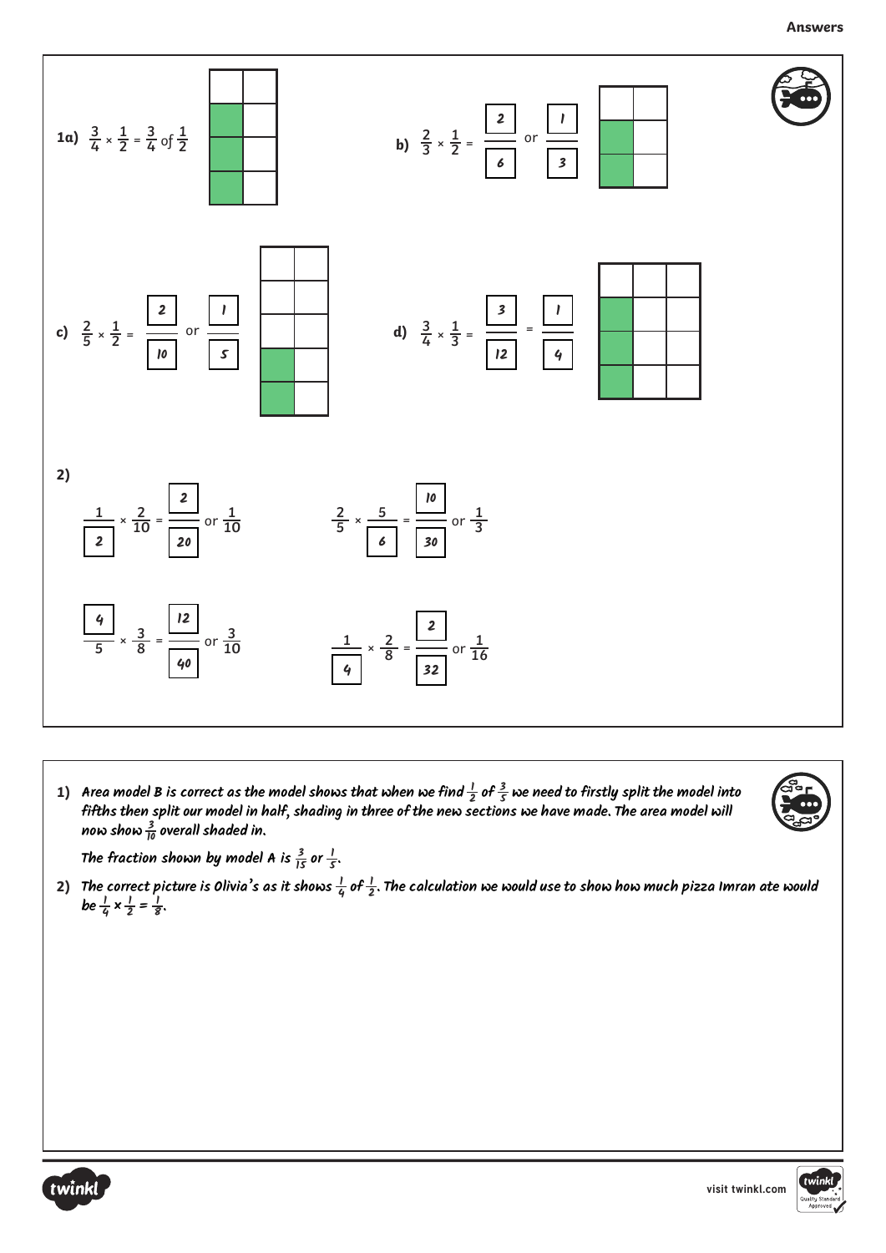

**1)** Area model B is correct as the model shows that when we find  $\frac{1}{2}$  of  $\frac{3}{5}$  we need to firstly split the model into **fifths then split our model in half, shading in three of the new sections we have made. The area model will now show <sup>3</sup> <sup>10</sup> overall shaded in.**



The fraction shown by model A is  $\frac{3}{15}$  or  $\frac{1}{5}$ .

2) The correct picture is Olivia's as it shows  $\frac{1}{4}$  of  $\frac{1}{2}$ . The calculation we would use to show how much pizza Imran ate would **be**  $\frac{1}{4} \times \frac{1}{2} = \frac{1}{8}$